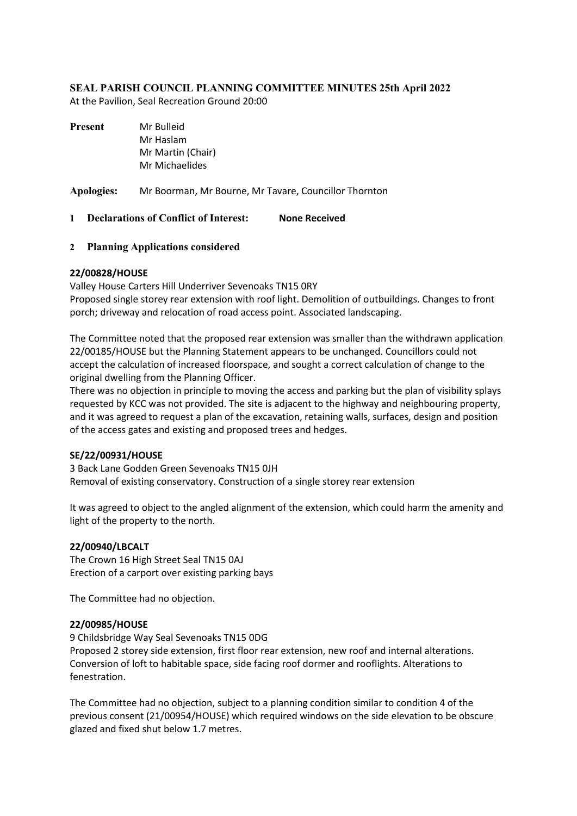## **SEAL PARISH COUNCIL PLANNING COMMITTEE MINUTES 25th April 2022**

At the Pavilion, Seal Recreation Ground 20:00

| <b>Present</b>    | Mr Bulleid<br>Mr Haslam<br>Mr Martin (Chair)<br>Mr Michaelides |                      |
|-------------------|----------------------------------------------------------------|----------------------|
| <b>Apologies:</b> | Mr Boorman, Mr Bourne, Mr Tavare, Councillor Thornton          |                      |
|                   | <b>Declarations of Conflict of Interest:</b>                   | <b>None Received</b> |

## **2 Planning Applications considered**

## **22/00828/HOUSE**

Valley House Carters Hill Underriver Sevenoaks TN15 0RY Proposed single storey rear extension with roof light. Demolition of outbuildings. Changes to front porch; driveway and relocation of road access point. Associated landscaping.

The Committee noted that the proposed rear extension was smaller than the withdrawn application 22/00185/HOUSE but the Planning Statement appears to be unchanged. Councillors could not accept the calculation of increased floorspace, and sought a correct calculation of change to the original dwelling from the Planning Officer.

There was no objection in principle to moving the access and parking but the plan of visibility splays requested by KCC was not provided. The site is adjacent to the highway and neighbouring property, and it was agreed to request a plan of the excavation, retaining walls, surfaces, design and position of the access gates and existing and proposed trees and hedges.

#### **SE/22/00931/HOUSE**

3 Back Lane Godden Green Sevenoaks TN15 0JH Removal of existing conservatory. Construction of a single storey rear extension

It was agreed to object to the angled alignment of the extension, which could harm the amenity and light of the property to the north.

#### **22/00940/LBCALT**

The Crown 16 High Street Seal TN15 0AJ Erection of a carport over existing parking bays

The Committee had no objection.

#### **22/00985/HOUSE**

9 Childsbridge Way Seal Sevenoaks TN15 0DG Proposed 2 storey side extension, first floor rear extension, new roof and internal alterations. Conversion of loft to habitable space, side facing roof dormer and rooflights. Alterations to fenestration.

The Committee had no objection, subject to a planning condition similar to condition 4 of the previous consent (21/00954/HOUSE) which required windows on the side elevation to be obscure glazed and fixed shut below 1.7 metres.